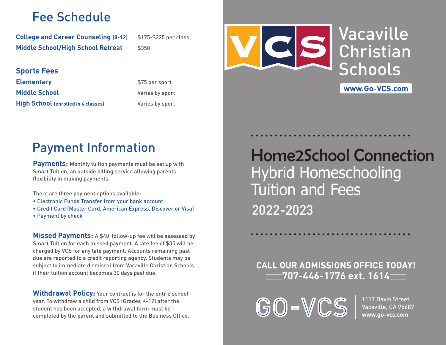### Fee Schedule

**College and Career Counseling (8-12)** \$175-\$225 per class **Middle School/High School Retreat** \$350

### **Sports Fees**

**Elementary \$75 per sport Middle School Varies by sport High School (enrolled in 4 classes)** Varies by sport



# VacavilleChristianSchools

www.Go-VCS.com

## Payment Information

**Payments:** Monthly tuition payments must be set up with Smart Tuition, an outside billing service allowing parents flexibility in making payments.

There are three payment options available:

- Electronic Funds Transfer from your bank account
- Credit Card (Master Card, American Express, Discover or Visa)
- Payment by check

**Missed Payments:** A \$40 follow-up fee will be assessed by Smart Tuition for each missed payment. A late fee of \$35 will be charged by VCS for any late payment. Accounts remaining past due are reported to a credit reporting agency. Students may be subject to immediate dismissal from Vacaville Christian Schools if their tuition account becomes 30 days past due.

**Withdrawal Policy:** Your contract is for the entire school year. To withdraw a child from VCS (Grades K-12) after the student has been accepted, a withdrawal form must be completed by the parent and submitted to the Business Office.

Home2School ConnectionHybrid Homeschooling Tuition and Fees 2022-2023

### **CALL OUR ADMISSIONS OFFICE TODAY! 707-446-1776 ext. 1614**

GO-VCS

1117 Davis StreetVacaville, CA 95687 **www.go-vcs.com**